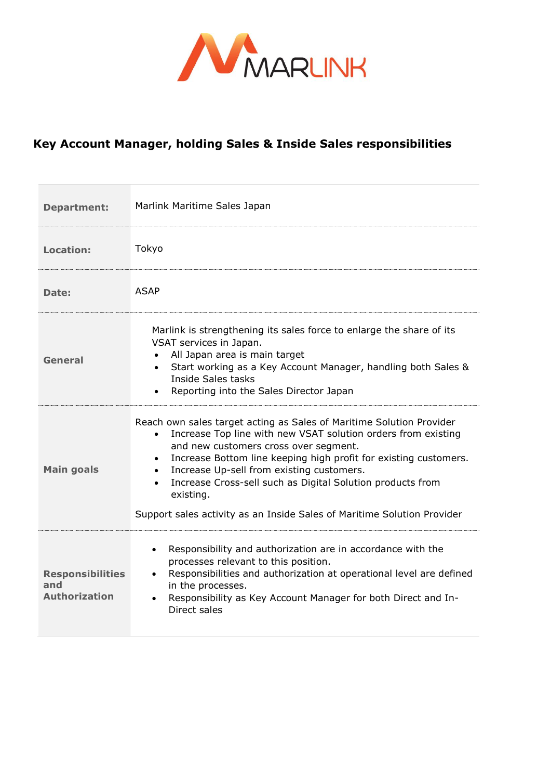

## **Key Account Manager, holding Sales & Inside Sales responsibilities**

| <b>Department:</b>                                     | Marlink Maritime Sales Japan                                                                                                                                                                                                                                                                                                                                                                                                                                                    |
|--------------------------------------------------------|---------------------------------------------------------------------------------------------------------------------------------------------------------------------------------------------------------------------------------------------------------------------------------------------------------------------------------------------------------------------------------------------------------------------------------------------------------------------------------|
| <b>Location:</b>                                       | Tokyo                                                                                                                                                                                                                                                                                                                                                                                                                                                                           |
| Date:                                                  | <b>ASAP</b>                                                                                                                                                                                                                                                                                                                                                                                                                                                                     |
| General                                                | Marlink is strengthening its sales force to enlarge the share of its<br>VSAT services in Japan.<br>All Japan area is main target<br>$\bullet$<br>Start working as a Key Account Manager, handling both Sales &<br>$\bullet$<br>Inside Sales tasks<br>Reporting into the Sales Director Japan<br>$\bullet$                                                                                                                                                                       |
| <b>Main goals</b>                                      | Reach own sales target acting as Sales of Maritime Solution Provider<br>Increase Top line with new VSAT solution orders from existing<br>$\bullet$<br>and new customers cross over segment.<br>Increase Bottom line keeping high profit for existing customers.<br>Increase Up-sell from existing customers.<br>$\bullet$<br>Increase Cross-sell such as Digital Solution products from<br>existing.<br>Support sales activity as an Inside Sales of Maritime Solution Provider |
| <b>Responsibilities</b><br>and<br><b>Authorization</b> | Responsibility and authorization are in accordance with the<br>$\bullet$<br>processes relevant to this position.<br>Responsibilities and authorization at operational level are defined<br>in the processes.<br>Responsibility as Key Account Manager for both Direct and In-<br>Direct sales                                                                                                                                                                                   |